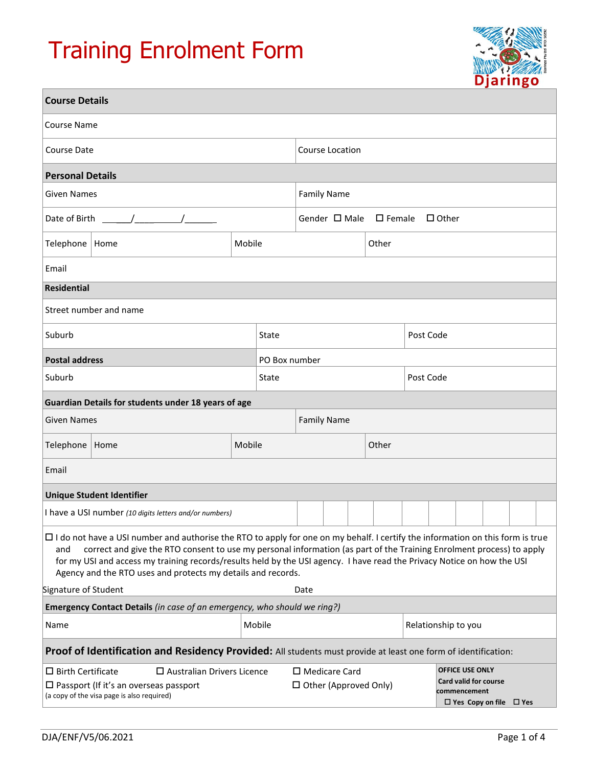# Training Enrolment Form



| <b>Course Details</b>                                                                                                                                                                                                                                                                                                                         |                                                                                                                                                                                                                                                                                                                                                                                                                                                          |        |       |                                  |  |           |           |                     |  |  |  |  |  |
|-----------------------------------------------------------------------------------------------------------------------------------------------------------------------------------------------------------------------------------------------------------------------------------------------------------------------------------------------|----------------------------------------------------------------------------------------------------------------------------------------------------------------------------------------------------------------------------------------------------------------------------------------------------------------------------------------------------------------------------------------------------------------------------------------------------------|--------|-------|----------------------------------|--|-----------|-----------|---------------------|--|--|--|--|--|
| Course Name                                                                                                                                                                                                                                                                                                                                   |                                                                                                                                                                                                                                                                                                                                                                                                                                                          |        |       |                                  |  |           |           |                     |  |  |  |  |  |
| <b>Course Date</b>                                                                                                                                                                                                                                                                                                                            |                                                                                                                                                                                                                                                                                                                                                                                                                                                          |        |       | Course Location                  |  |           |           |                     |  |  |  |  |  |
| <b>Personal Details</b>                                                                                                                                                                                                                                                                                                                       |                                                                                                                                                                                                                                                                                                                                                                                                                                                          |        |       |                                  |  |           |           |                     |  |  |  |  |  |
| <b>Given Names</b>                                                                                                                                                                                                                                                                                                                            |                                                                                                                                                                                                                                                                                                                                                                                                                                                          |        |       | <b>Family Name</b>               |  |           |           |                     |  |  |  |  |  |
| Date of Birth<br>$\frac{1}{2}$                                                                                                                                                                                                                                                                                                                |                                                                                                                                                                                                                                                                                                                                                                                                                                                          |        |       | Gender $\Box$ Male $\Box$ Female |  |           |           | $\Box$ Other        |  |  |  |  |  |
| Telephone                                                                                                                                                                                                                                                                                                                                     | Home                                                                                                                                                                                                                                                                                                                                                                                                                                                     | Mobile |       | Other                            |  |           |           |                     |  |  |  |  |  |
| Email                                                                                                                                                                                                                                                                                                                                         |                                                                                                                                                                                                                                                                                                                                                                                                                                                          |        |       |                                  |  |           |           |                     |  |  |  |  |  |
| <b>Residential</b>                                                                                                                                                                                                                                                                                                                            |                                                                                                                                                                                                                                                                                                                                                                                                                                                          |        |       |                                  |  |           |           |                     |  |  |  |  |  |
| Street number and name                                                                                                                                                                                                                                                                                                                        |                                                                                                                                                                                                                                                                                                                                                                                                                                                          |        |       |                                  |  |           |           |                     |  |  |  |  |  |
| Suburb                                                                                                                                                                                                                                                                                                                                        |                                                                                                                                                                                                                                                                                                                                                                                                                                                          |        | State |                                  |  |           | Post Code |                     |  |  |  |  |  |
| <b>Postal address</b>                                                                                                                                                                                                                                                                                                                         |                                                                                                                                                                                                                                                                                                                                                                                                                                                          |        |       | PO Box number                    |  |           |           |                     |  |  |  |  |  |
| Suburb                                                                                                                                                                                                                                                                                                                                        |                                                                                                                                                                                                                                                                                                                                                                                                                                                          |        | State |                                  |  | Post Code |           |                     |  |  |  |  |  |
|                                                                                                                                                                                                                                                                                                                                               | Guardian Details for students under 18 years of age                                                                                                                                                                                                                                                                                                                                                                                                      |        |       |                                  |  |           |           |                     |  |  |  |  |  |
| <b>Given Names</b>                                                                                                                                                                                                                                                                                                                            |                                                                                                                                                                                                                                                                                                                                                                                                                                                          |        |       | <b>Family Name</b>               |  |           |           |                     |  |  |  |  |  |
| Telephone                                                                                                                                                                                                                                                                                                                                     | Home                                                                                                                                                                                                                                                                                                                                                                                                                                                     | Mobile |       |                                  |  | Other     |           |                     |  |  |  |  |  |
| Email                                                                                                                                                                                                                                                                                                                                         |                                                                                                                                                                                                                                                                                                                                                                                                                                                          |        |       |                                  |  |           |           |                     |  |  |  |  |  |
|                                                                                                                                                                                                                                                                                                                                               | <b>Unique Student Identifier</b>                                                                                                                                                                                                                                                                                                                                                                                                                         |        |       |                                  |  |           |           |                     |  |  |  |  |  |
| I have a USI number (10 digits letters and/or numbers)                                                                                                                                                                                                                                                                                        |                                                                                                                                                                                                                                                                                                                                                                                                                                                          |        |       |                                  |  |           |           |                     |  |  |  |  |  |
| and                                                                                                                                                                                                                                                                                                                                           | $\Box$ I do not have a USI number and authorise the RTO to apply for one on my behalf. I certify the information on this form is true<br>correct and give the RTO consent to use my personal information (as part of the Training Enrolment process) to apply<br>for my USI and access my training records/results held by the USI agency. I have read the Privacy Notice on how the USI<br>Agency and the RTO uses and protects my details and records. |        |       |                                  |  |           |           |                     |  |  |  |  |  |
| Signature of Student                                                                                                                                                                                                                                                                                                                          |                                                                                                                                                                                                                                                                                                                                                                                                                                                          |        |       | Date                             |  |           |           |                     |  |  |  |  |  |
|                                                                                                                                                                                                                                                                                                                                               | Emergency Contact Details (in case of an emergency, who should we ring?)                                                                                                                                                                                                                                                                                                                                                                                 |        |       |                                  |  |           |           |                     |  |  |  |  |  |
| Mobile<br>Name                                                                                                                                                                                                                                                                                                                                |                                                                                                                                                                                                                                                                                                                                                                                                                                                          |        |       |                                  |  |           |           | Relationship to you |  |  |  |  |  |
|                                                                                                                                                                                                                                                                                                                                               | Proof of Identification and Residency Provided: All students must provide at least one form of identification:                                                                                                                                                                                                                                                                                                                                           |        |       |                                  |  |           |           |                     |  |  |  |  |  |
| <b>OFFICE USE ONLY</b><br>$\square$ Medicare Card<br>$\Box$ Birth Certificate<br>$\square$ Australian Drivers Licence<br><b>Card valid for course</b><br>$\square$ Passport (If it's an overseas passport<br>$\Box$ Other (Approved Only)<br>commencement<br>(a copy of the visa page is also required)<br>$\Box$ Yes Copy on file $\Box$ Yes |                                                                                                                                                                                                                                                                                                                                                                                                                                                          |        |       |                                  |  |           |           |                     |  |  |  |  |  |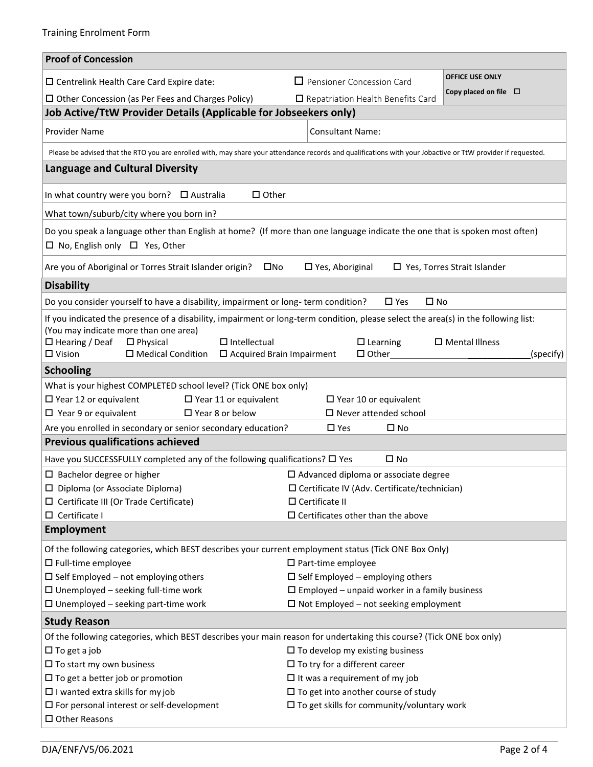| <b>Proof of Concession</b>                                                                                                                                                                                                                                                                                                            |                                                        |                                       |  |  |  |  |  |
|---------------------------------------------------------------------------------------------------------------------------------------------------------------------------------------------------------------------------------------------------------------------------------------------------------------------------------------|--------------------------------------------------------|---------------------------------------|--|--|--|--|--|
| □ Centrelink Health Care Card Expire date:                                                                                                                                                                                                                                                                                            | $\Box$ Pensioner Concession Card                       | <b>OFFICE USE ONLY</b>                |  |  |  |  |  |
| $\Box$ Other Concession (as Per Fees and Charges Policy)                                                                                                                                                                                                                                                                              | $\Box$ Repatriation Health Benefits Card               | Copy placed on file $\Box$            |  |  |  |  |  |
| Job Active/TtW Provider Details (Applicable for Jobseekers only)                                                                                                                                                                                                                                                                      |                                                        |                                       |  |  |  |  |  |
| <b>Provider Name</b>                                                                                                                                                                                                                                                                                                                  | <b>Consultant Name:</b>                                |                                       |  |  |  |  |  |
| Please be advised that the RTO you are enrolled with, may share your attendance records and qualifications with your Jobactive or TtW provider if requested.                                                                                                                                                                          |                                                        |                                       |  |  |  |  |  |
| <b>Language and Cultural Diversity</b>                                                                                                                                                                                                                                                                                                |                                                        |                                       |  |  |  |  |  |
| In what country were you born? $\Box$ Australia<br>$\Box$ Other                                                                                                                                                                                                                                                                       |                                                        |                                       |  |  |  |  |  |
| What town/suburb/city where you born in?                                                                                                                                                                                                                                                                                              |                                                        |                                       |  |  |  |  |  |
| Do you speak a language other than English at home? (If more than one language indicate the one that is spoken most often)<br>$\Box$ No, English only $\Box$ Yes, Other                                                                                                                                                               |                                                        |                                       |  |  |  |  |  |
| $\square$ Yes, Aboriginal<br>□ Yes, Torres Strait Islander<br>Are you of Aboriginal or Torres Strait Islander origin?<br>$\square$ No                                                                                                                                                                                                 |                                                        |                                       |  |  |  |  |  |
| <b>Disability</b>                                                                                                                                                                                                                                                                                                                     |                                                        |                                       |  |  |  |  |  |
| Do you consider yourself to have a disability, impairment or long-term condition?                                                                                                                                                                                                                                                     | $\square$ No<br>$\square$ Yes                          |                                       |  |  |  |  |  |
| If you indicated the presence of a disability, impairment or long-term condition, please select the area(s) in the following list:<br>(You may indicate more than one area)<br>$\square$ Hearing / Deaf<br>$\Box$ Intellectual<br>$\Box$ Physical<br>$\Box$ Vision<br>$\square$ Medical Condition<br>$\Box$ Acquired Brain Impairment | $\square$ Learning                                     | $\square$ Mental Illness<br>(specify) |  |  |  |  |  |
|                                                                                                                                                                                                                                                                                                                                       |                                                        |                                       |  |  |  |  |  |
| <b>Schooling</b>                                                                                                                                                                                                                                                                                                                      |                                                        |                                       |  |  |  |  |  |
| What is your highest COMPLETED school level? (Tick ONE box only)<br>$\square$ Year 12 or equivalent<br>$\square$ Year 11 or equivalent                                                                                                                                                                                                | $\Box$ Year 10 or equivalent                           |                                       |  |  |  |  |  |
| $\Box$ Year 9 or equivalent<br>$\Box$ Year 8 or below                                                                                                                                                                                                                                                                                 | $\square$ Never attended school                        |                                       |  |  |  |  |  |
| Are you enrolled in secondary or senior secondary education?                                                                                                                                                                                                                                                                          | $\square$ Yes<br>$\square$ No                          |                                       |  |  |  |  |  |
| <b>Previous qualifications achieved</b>                                                                                                                                                                                                                                                                                               |                                                        |                                       |  |  |  |  |  |
| Have you SUCCESSFULLY completed any of the following qualifications? □ Yes                                                                                                                                                                                                                                                            | $\square$ No                                           |                                       |  |  |  |  |  |
| $\Box$ Bachelor degree or higher                                                                                                                                                                                                                                                                                                      | $\Box$ Advanced diploma or associate degree            |                                       |  |  |  |  |  |
| □ Diploma (or Associate Diploma)                                                                                                                                                                                                                                                                                                      | $\square$ Certificate IV (Adv. Certificate/technician) |                                       |  |  |  |  |  |
| $\Box$ Certificate III (Or Trade Certificate)                                                                                                                                                                                                                                                                                         | $\Box$ Certificate II                                  |                                       |  |  |  |  |  |
| $\Box$ Certificate I                                                                                                                                                                                                                                                                                                                  | $\square$ Certificates other than the above            |                                       |  |  |  |  |  |
| Employment                                                                                                                                                                                                                                                                                                                            |                                                        |                                       |  |  |  |  |  |
| Of the following categories, which BEST describes your current employment status (Tick ONE Box Only)                                                                                                                                                                                                                                  |                                                        |                                       |  |  |  |  |  |
| $\square$ Full-time employee                                                                                                                                                                                                                                                                                                          | $\square$ Part-time employee                           |                                       |  |  |  |  |  |
| $\square$ Self Employed – not employing others                                                                                                                                                                                                                                                                                        | $\square$ Self Employed – employing others             |                                       |  |  |  |  |  |
| $\Box$ Unemployed - seeking full-time work                                                                                                                                                                                                                                                                                            | $\Box$ Employed – unpaid worker in a family business   |                                       |  |  |  |  |  |
| $\square$ Unemployed - seeking part-time work                                                                                                                                                                                                                                                                                         | $\Box$ Not Employed – not seeking employment           |                                       |  |  |  |  |  |
| <b>Study Reason</b>                                                                                                                                                                                                                                                                                                                   |                                                        |                                       |  |  |  |  |  |
| Of the following categories, which BEST describes your main reason for undertaking this course? (Tick ONE box only)                                                                                                                                                                                                                   |                                                        |                                       |  |  |  |  |  |
| $\Box$ To get a job                                                                                                                                                                                                                                                                                                                   | $\square$ To develop my existing business              |                                       |  |  |  |  |  |
| $\square$ To start my own business                                                                                                                                                                                                                                                                                                    | $\Box$ To try for a different career                   |                                       |  |  |  |  |  |
| $\Box$ To get a better job or promotion                                                                                                                                                                                                                                                                                               | $\Box$ It was a requirement of my job                  |                                       |  |  |  |  |  |
| $\Box$ I wanted extra skills for my job                                                                                                                                                                                                                                                                                               | $\square$ To get into another course of study          |                                       |  |  |  |  |  |
| $\square$ For personal interest or self-development                                                                                                                                                                                                                                                                                   | $\square$ To get skills for community/voluntary work   |                                       |  |  |  |  |  |
| $\square$ Other Reasons                                                                                                                                                                                                                                                                                                               |                                                        |                                       |  |  |  |  |  |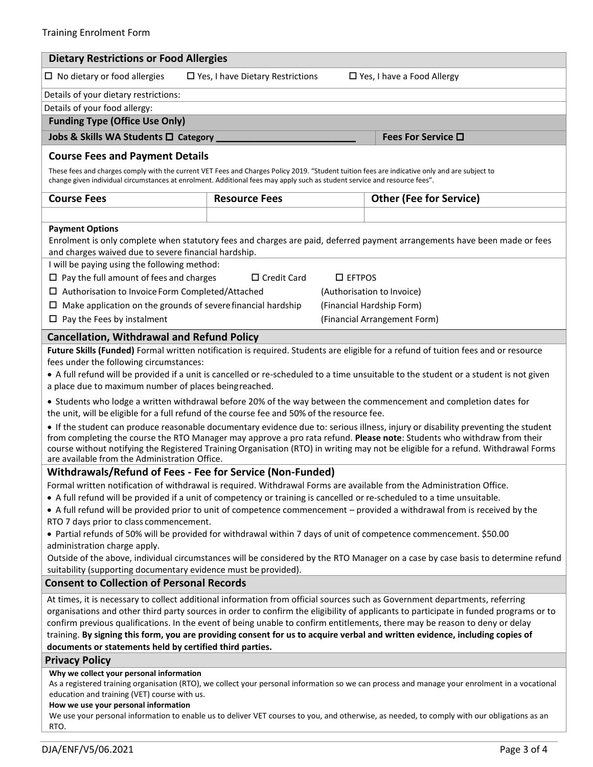| <b>Dietary Restrictions or Food Allergies</b>                                                                                                                                                                                                                                                                                                                                                                                                      |                                        |                                                                                                                                       |  |  |  |  |  |  |
|----------------------------------------------------------------------------------------------------------------------------------------------------------------------------------------------------------------------------------------------------------------------------------------------------------------------------------------------------------------------------------------------------------------------------------------------------|----------------------------------------|---------------------------------------------------------------------------------------------------------------------------------------|--|--|--|--|--|--|
| $\Box$ No dietary or food allergies<br>$\square$ Yes, I have Dietary Restrictions<br>$\Box$ Yes, I have a Food Allergy                                                                                                                                                                                                                                                                                                                             |                                        |                                                                                                                                       |  |  |  |  |  |  |
| Details of your dietary restrictions:                                                                                                                                                                                                                                                                                                                                                                                                              |                                        |                                                                                                                                       |  |  |  |  |  |  |
| Details of your food allergy:                                                                                                                                                                                                                                                                                                                                                                                                                      |                                        |                                                                                                                                       |  |  |  |  |  |  |
| <b>Funding Type (Office Use Only)</b>                                                                                                                                                                                                                                                                                                                                                                                                              |                                        |                                                                                                                                       |  |  |  |  |  |  |
| Jobs & Skills WA Students Q Category                                                                                                                                                                                                                                                                                                                                                                                                               |                                        | Fees For Service $\square$                                                                                                            |  |  |  |  |  |  |
| <b>Course Fees and Payment Details</b>                                                                                                                                                                                                                                                                                                                                                                                                             |                                        |                                                                                                                                       |  |  |  |  |  |  |
| These fees and charges comply with the current VET Fees and Charges Policy 2019. "Student tuition fees are indicative only and are subject to<br>change given individual circumstances at enrolment. Additional fees may apply such as student service and resource fees".                                                                                                                                                                         |                                        |                                                                                                                                       |  |  |  |  |  |  |
| <b>Course Fees</b>                                                                                                                                                                                                                                                                                                                                                                                                                                 | <b>Resource Fees</b>                   | <b>Other (Fee for Service)</b>                                                                                                        |  |  |  |  |  |  |
|                                                                                                                                                                                                                                                                                                                                                                                                                                                    |                                        |                                                                                                                                       |  |  |  |  |  |  |
| <b>Payment Options</b>                                                                                                                                                                                                                                                                                                                                                                                                                             |                                        |                                                                                                                                       |  |  |  |  |  |  |
|                                                                                                                                                                                                                                                                                                                                                                                                                                                    |                                        | Enrolment is only complete when statutory fees and charges are paid, deferred payment arrangements have been made or fees             |  |  |  |  |  |  |
| and charges waived due to severe financial hardship.                                                                                                                                                                                                                                                                                                                                                                                               |                                        |                                                                                                                                       |  |  |  |  |  |  |
| I will be paying using the following method:                                                                                                                                                                                                                                                                                                                                                                                                       |                                        |                                                                                                                                       |  |  |  |  |  |  |
| $\Box$ Pay the full amount of fees and charges                                                                                                                                                                                                                                                                                                                                                                                                     | $\Box$ Credit Card<br>$\square$ EFTPOS |                                                                                                                                       |  |  |  |  |  |  |
| □ Authorisation to Invoice Form Completed/Attached                                                                                                                                                                                                                                                                                                                                                                                                 |                                        | (Authorisation to Invoice)                                                                                                            |  |  |  |  |  |  |
| $\Box$ Make application on the grounds of severe financial hardship                                                                                                                                                                                                                                                                                                                                                                                |                                        | (Financial Hardship Form)                                                                                                             |  |  |  |  |  |  |
| $\Box$ Pay the Fees by instalment                                                                                                                                                                                                                                                                                                                                                                                                                  |                                        | (Financial Arrangement Form)                                                                                                          |  |  |  |  |  |  |
| <b>Cancellation, Withdrawal and Refund Policy</b>                                                                                                                                                                                                                                                                                                                                                                                                  |                                        |                                                                                                                                       |  |  |  |  |  |  |
|                                                                                                                                                                                                                                                                                                                                                                                                                                                    |                                        | Future Skills (Funded) Formal written notification is required. Students are eligible for a refund of tuition fees and or resource    |  |  |  |  |  |  |
| fees under the following circumstances:                                                                                                                                                                                                                                                                                                                                                                                                            |                                        |                                                                                                                                       |  |  |  |  |  |  |
|                                                                                                                                                                                                                                                                                                                                                                                                                                                    |                                        | • A full refund will be provided if a unit is cancelled or re-scheduled to a time unsuitable to the student or a student is not given |  |  |  |  |  |  |
| a place due to maximum number of places beingreached.                                                                                                                                                                                                                                                                                                                                                                                              |                                        |                                                                                                                                       |  |  |  |  |  |  |
| • Students who lodge a written withdrawal before 20% of the way between the commencement and completion dates for<br>the unit, will be eligible for a full refund of the course fee and 50% of the resource fee.                                                                                                                                                                                                                                   |                                        |                                                                                                                                       |  |  |  |  |  |  |
| • If the student can produce reasonable documentary evidence due to: serious illness, injury or disability preventing the student<br>from completing the course the RTO Manager may approve a pro rata refund. Please note: Students who withdraw from their<br>course without notifying the Registered Training Organisation (RTO) in writing may not be eligible for a refund. Withdrawal Forms<br>are available from the Administration Office. |                                        |                                                                                                                                       |  |  |  |  |  |  |
| Withdrawals/Refund of Fees - Fee for Service (Non-Funded)                                                                                                                                                                                                                                                                                                                                                                                          |                                        |                                                                                                                                       |  |  |  |  |  |  |
| Formal written notification of withdrawal is required. Withdrawal Forms are available from the Administration Office.                                                                                                                                                                                                                                                                                                                              |                                        |                                                                                                                                       |  |  |  |  |  |  |
| • A full refund will be provided if a unit of competency or training is cancelled or re-scheduled to a time unsuitable.                                                                                                                                                                                                                                                                                                                            |                                        |                                                                                                                                       |  |  |  |  |  |  |
| • A full refund will be provided prior to unit of competence commencement – provided a withdrawal from is received by the<br>RTO 7 days prior to class commencement.                                                                                                                                                                                                                                                                               |                                        |                                                                                                                                       |  |  |  |  |  |  |
| • Partial refunds of 50% will be provided for withdrawal within 7 days of unit of competence commencement. \$50.00                                                                                                                                                                                                                                                                                                                                 |                                        |                                                                                                                                       |  |  |  |  |  |  |
| administration charge apply.                                                                                                                                                                                                                                                                                                                                                                                                                       |                                        |                                                                                                                                       |  |  |  |  |  |  |
|                                                                                                                                                                                                                                                                                                                                                                                                                                                    |                                        | Outside of the above, individual circumstances will be considered by the RTO Manager on a case by case basis to determine refund      |  |  |  |  |  |  |
| suitability (supporting documentary evidence must be provided).                                                                                                                                                                                                                                                                                                                                                                                    |                                        |                                                                                                                                       |  |  |  |  |  |  |
| <b>Consent to Collection of Personal Records</b>                                                                                                                                                                                                                                                                                                                                                                                                   |                                        |                                                                                                                                       |  |  |  |  |  |  |
| At times, it is necessary to collect additional information from official sources such as Government departments, referring                                                                                                                                                                                                                                                                                                                        |                                        |                                                                                                                                       |  |  |  |  |  |  |
| organisations and other third party sources in order to confirm the eligibility of applicants to participate in funded programs or to                                                                                                                                                                                                                                                                                                              |                                        |                                                                                                                                       |  |  |  |  |  |  |
| confirm previous qualifications. In the event of being unable to confirm entitlements, there may be reason to deny or delay<br>training. By signing this form, you are providing consent for us to acquire verbal and written evidence, including copies of                                                                                                                                                                                        |                                        |                                                                                                                                       |  |  |  |  |  |  |
| documents or statements held by certified third parties.                                                                                                                                                                                                                                                                                                                                                                                           |                                        |                                                                                                                                       |  |  |  |  |  |  |
| <b>Privacy Policy</b>                                                                                                                                                                                                                                                                                                                                                                                                                              |                                        |                                                                                                                                       |  |  |  |  |  |  |
| Why we collect your personal information                                                                                                                                                                                                                                                                                                                                                                                                           |                                        |                                                                                                                                       |  |  |  |  |  |  |
| As a registered training organisation (RTO), we collect your personal information so we can process and manage your enrolment in a vocational                                                                                                                                                                                                                                                                                                      |                                        |                                                                                                                                       |  |  |  |  |  |  |
| education and training (VET) course with us.<br>How we use your personal information                                                                                                                                                                                                                                                                                                                                                               |                                        |                                                                                                                                       |  |  |  |  |  |  |
| We use your personal information to enable us to deliver VET courses to you, and otherwise, as needed, to comply with our obligations as an                                                                                                                                                                                                                                                                                                        |                                        |                                                                                                                                       |  |  |  |  |  |  |
| RTO.                                                                                                                                                                                                                                                                                                                                                                                                                                               |                                        |                                                                                                                                       |  |  |  |  |  |  |